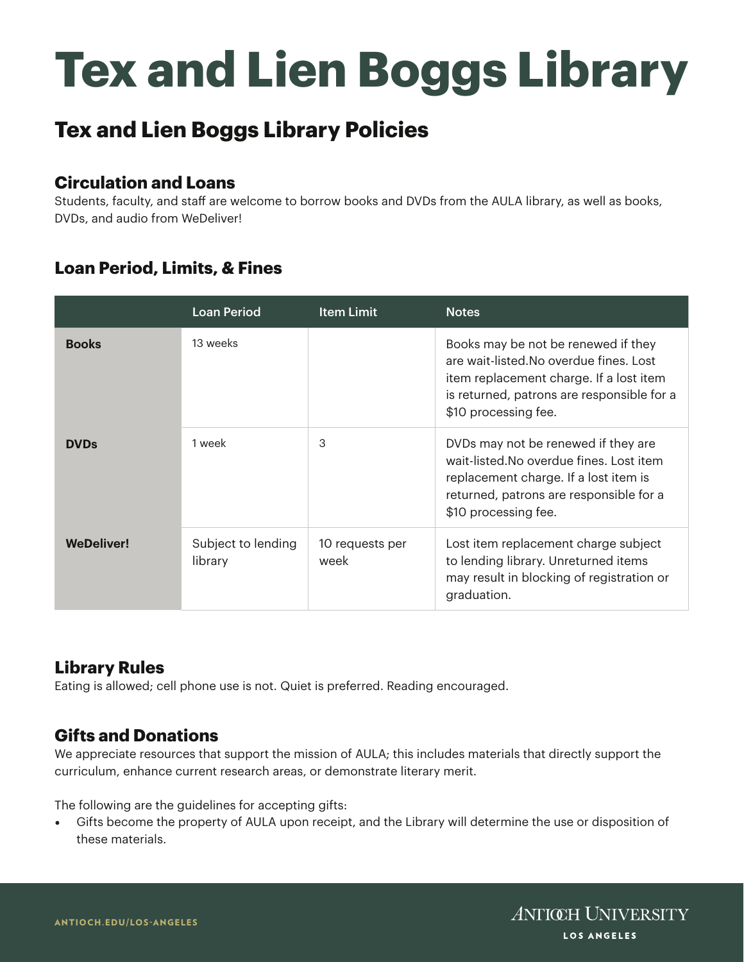# **Tex and Lien Boggs Library**

## **Tex and Lien Boggs Library Policies**

#### **Circulation and Loans**

Students, faculty, and staff are welcome to borrow books and DVDs from the AULA library, as well as books, DVDs, and audio from WeDeliver!

### **Loan Period, Limits, & Fines**

|                   | <b>Loan Period</b>            | <b>Item Limit</b>       | <b>Notes</b>                                                                                                                                                                                    |
|-------------------|-------------------------------|-------------------------|-------------------------------------------------------------------------------------------------------------------------------------------------------------------------------------------------|
| <b>Books</b>      | 13 weeks                      |                         | Books may be not be renewed if they<br>are wait-listed. No overdue fines. Lost<br>item replacement charge. If a lost item<br>is returned, patrons are responsible for a<br>\$10 processing fee. |
| <b>DVDs</b>       | 1 week                        | 3                       | DVDs may not be renewed if they are<br>wait-listed. No overdue fines. Lost item<br>replacement charge. If a lost item is<br>returned, patrons are responsible for a<br>\$10 processing fee.     |
| <b>WeDeliver!</b> | Subject to lending<br>library | 10 requests per<br>week | Lost item replacement charge subject<br>to lending library. Unreturned items<br>may result in blocking of registration or<br>graduation.                                                        |

#### **Library Rules**

Eating is allowed; cell phone use is not. Quiet is preferred. Reading encouraged.

#### **Gifts and Donations**

We appreciate resources that support the mission of AULA; this includes materials that directly support the curriculum, enhance current research areas, or demonstrate literary merit.

The following are the guidelines for accepting gifts:

• Gifts become the property of AULA upon receipt, and the Library will determine the use or disposition of these materials.

**ANTICH UNIVERSITY** LOS ANGELES